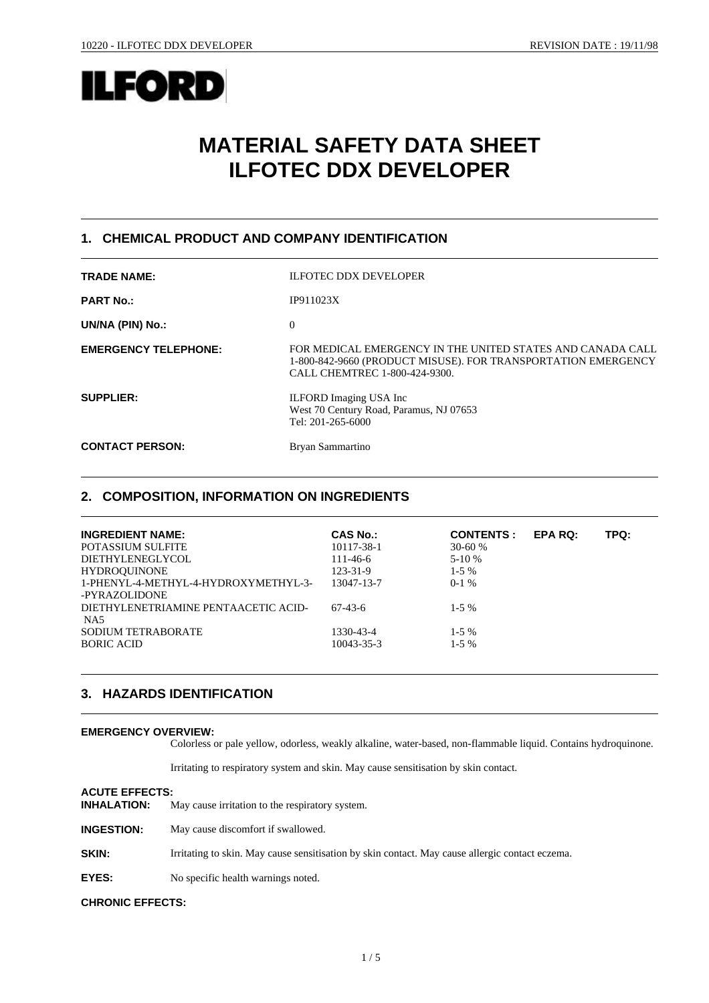

# **MATERIAL SAFETY DATA SHEET ILFOTEC DDX DEVELOPER**

### **1. CHEMICAL PRODUCT AND COMPANY IDENTIFICATION**

| <b>TRADE NAME:</b>          | <b>ILFOTEC DDX DEVELOPER</b>                                                                                                                                 |
|-----------------------------|--------------------------------------------------------------------------------------------------------------------------------------------------------------|
| <b>PART No.:</b>            | IP911023X                                                                                                                                                    |
| UN/NA (PIN) No.:            | $\Omega$                                                                                                                                                     |
| <b>EMERGENCY TELEPHONE:</b> | FOR MEDICAL EMERGENCY IN THE UNITED STATES AND CANADA CALL<br>1-800-842-9660 (PRODUCT MISUSE). FOR TRANSPORTATION EMERGENCY<br>CALL CHEMTREC 1-800-424-9300. |
| <b>SUPPLIER:</b>            | <b>ILFORD</b> Imaging USA Inc<br>West 70 Century Road, Paramus, NJ 07653<br>Tel: 201-265-6000                                                                |
| <b>CONTACT PERSON:</b>      | Bryan Sammartino                                                                                                                                             |

### **2. COMPOSITION, INFORMATION ON INGREDIENTS**

| <b>INGREDIENT NAME:</b>              | <b>CAS No.:</b> | <b>CONTENTS:</b> | <b>EPA RQ:</b> | TPQ: |
|--------------------------------------|-----------------|------------------|----------------|------|
| <b>POTASSIUM SULFITE</b>             | 10117-38-1      | $30 - 60%$       |                |      |
| DIETHYLENEGLYCOL                     | $111 - 46 - 6$  | $5-10%$          |                |      |
| <b>HYDROOUINONE</b>                  | $123 - 31 - 9$  | $1-5\%$          |                |      |
| 1-PHENYL-4-METHYL-4-HYDROXYMETHYL-3- | 13047-13-7      | $0-1\%$          |                |      |
| -PYRAZOLIDONE                        |                 |                  |                |      |
| DIETHYLENETRIAMINE PENTAACETIC ACID- | 67-43-6         | $1 - 5\%$        |                |      |
| NA5                                  |                 |                  |                |      |
| SODIUM TETRABORATE                   | 1330-43-4       | $1 - 5\%$        |                |      |
| <b>BORIC ACID</b>                    | 10043-35-3      | $1 - 5\%$        |                |      |
|                                      |                 |                  |                |      |

### **3. HAZARDS IDENTIFICATION**

#### **EMERGENCY OVERVIEW:**

Colorless or pale yellow, odorless, weakly alkaline, water-based, non-flammable liquid. Contains hydroquinone.

Irritating to respiratory system and skin. May cause sensitisation by skin contact.

#### **ACUTE EFFECTS:**

| <b>INHALATION:</b> | May cause irritation to the respiratory system. |
|--------------------|-------------------------------------------------|
|--------------------|-------------------------------------------------|

**INGESTION:** May cause discomfort if swallowed.

**SKIN:** Irritating to skin. May cause sensitisation by skin contact. May cause allergic contact eczema.

**EYES:** No specific health warnings noted.

#### **CHRONIC EFFECTS:**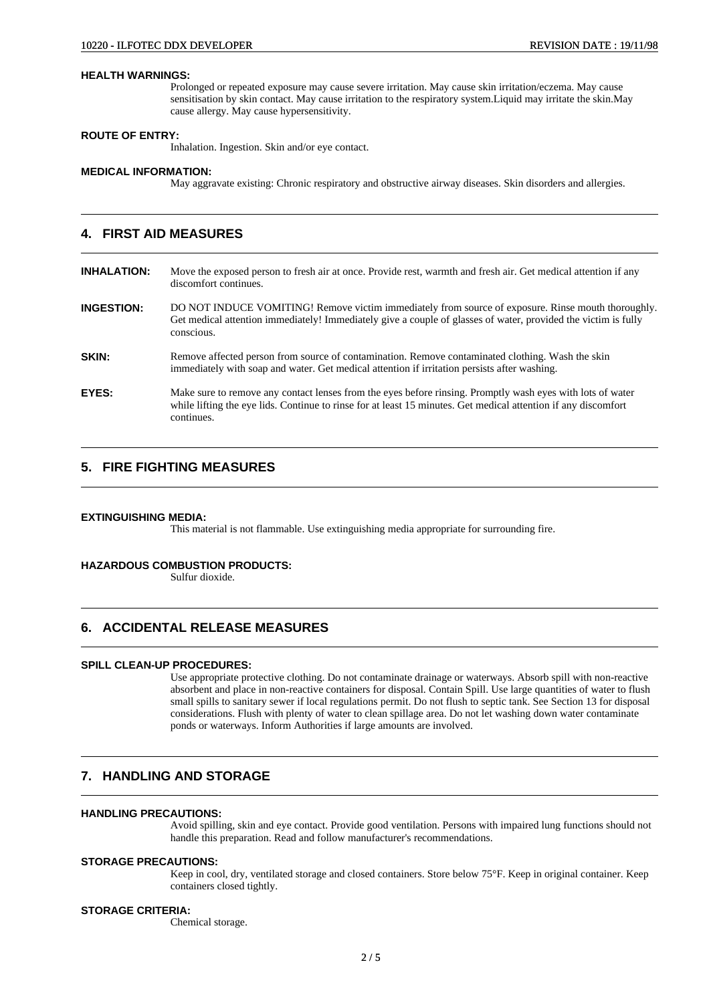#### **HEALTH WARNINGS:**

Prolonged or repeated exposure may cause severe irritation. May cause skin irritation/eczema. May cause sensitisation by skin contact. May cause irritation to the respiratory system.Liquid may irritate the skin.May cause allergy. May cause hypersensitivity.

#### **ROUTE OF ENTRY:**

Inhalation. Ingestion. Skin and/or eye contact.

#### **MEDICAL INFORMATION:**

May aggravate existing: Chronic respiratory and obstructive airway diseases. Skin disorders and allergies.

### **4. FIRST AID MEASURES**

**INHALATION:** Move the exposed person to fresh air at once. Provide rest, warmth and fresh air. Get medical attention if any discomfort continues.

**INGESTION:** DO NOT INDUCE VOMITING! Remove victim immediately from source of exposure. Rinse mouth thoroughly. Get medical attention immediately! Immediately give a couple of glasses of water, provided the victim is fully conscious.

- **SKIN:** Remove affected person from source of contamination. Remove contaminated clothing. Wash the skin immediately with soap and water. Get medical attention if irritation persists after washing.
- **EYES:** Make sure to remove any contact lenses from the eyes before rinsing. Promptly wash eyes with lots of water while lifting the eye lids. Continue to rinse for at least 15 minutes. Get medical attention if any discomfort continues.

### **5. FIRE FIGHTING MEASURES**

#### **EXTINGUISHING MEDIA:**

This material is not flammable. Use extinguishing media appropriate for surrounding fire.

### **HAZARDOUS COMBUSTION PRODUCTS:**

Sulfur dioxide.

### **6. ACCIDENTAL RELEASE MEASURES**

#### **SPILL CLEAN-UP PROCEDURES:**

Use appropriate protective clothing. Do not contaminate drainage or waterways. Absorb spill with non-reactive absorbent and place in non-reactive containers for disposal. Contain Spill. Use large quantities of water to flush small spills to sanitary sewer if local regulations permit. Do not flush to septic tank. See Section 13 for disposal considerations. Flush with plenty of water to clean spillage area. Do not let washing down water contaminate ponds or waterways. Inform Authorities if large amounts are involved.

### **7. HANDLING AND STORAGE**

### **HANDLING PRECAUTIONS:**

Avoid spilling, skin and eye contact. Provide good ventilation. Persons with impaired lung functions should not handle this preparation. Read and follow manufacturer's recommendations.

#### **STORAGE PRECAUTIONS:**

Keep in cool, dry, ventilated storage and closed containers. Store below 75°F. Keep in original container. Keep containers closed tightly.

#### **STORAGE CRITERIA:**

Chemical storage.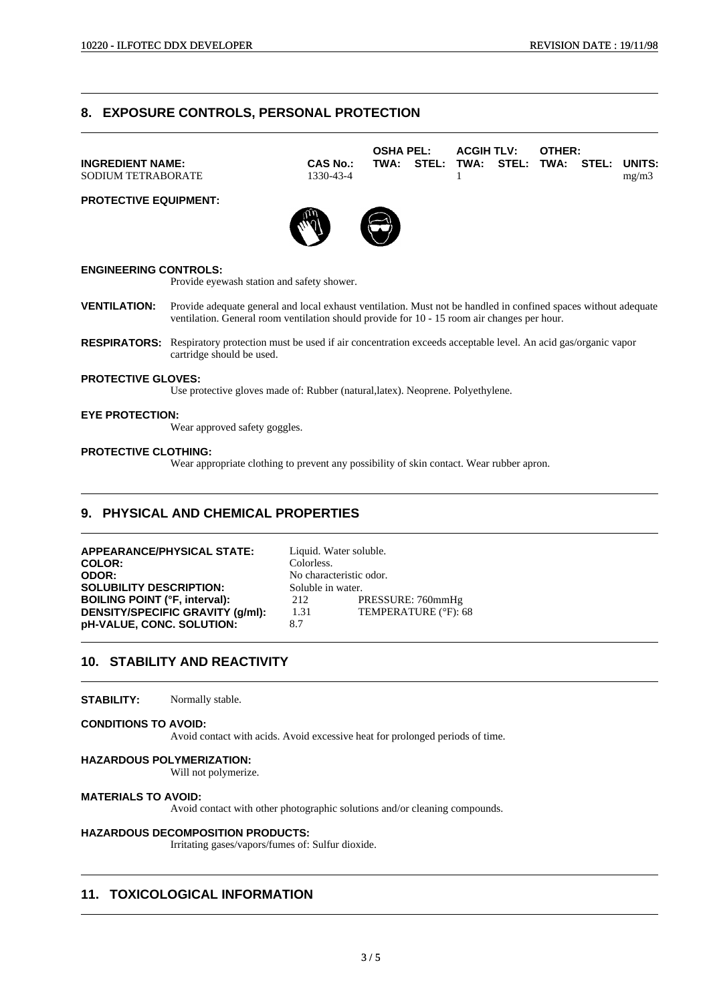### **8. EXPOSURE CONTROLS, PERSONAL PROTECTION**

|                              |                 | <b>OSHA PEL:</b> |                                         | <b>ACGIH TLV:</b> | <b>OTHER:</b> |       |
|------------------------------|-----------------|------------------|-----------------------------------------|-------------------|---------------|-------|
| <b>INGREDIENT NAME:</b>      | <b>CAS No.:</b> |                  | TWA: STEL: TWA: STEL: TWA: STEL: UNITS: |                   |               |       |
| <b>SODIUM TETRABORATE</b>    | 1330-43-4       |                  |                                         |                   |               | mg/m3 |
| <b>PROTECTIVE EQUIPMENT:</b> |                 |                  |                                         |                   |               |       |
|                              |                 |                  |                                         |                   |               |       |

W

### **ENGINEERING CONTROLS:**

Provide eyewash station and safety shower.

- **VENTILATION:** Provide adequate general and local exhaust ventilation. Must not be handled in confined spaces without adequate ventilation. General room ventilation should provide for 10 - 15 room air changes per hour.
- **RESPIRATORS:** Respiratory protection must be used if air concentration exceeds acceptable level. An acid gas/organic vapor cartridge should be used.

#### **PROTECTIVE GLOVES:**

Use protective gloves made of: Rubber (natural,latex). Neoprene. Polyethylene.

#### **EYE PROTECTION:**

Wear approved safety goggles.

#### **PROTECTIVE CLOTHING:**

Wear appropriate clothing to prevent any possibility of skin contact. Wear rubber apron.

### **9. PHYSICAL AND CHEMICAL PROPERTIES**

**APPEARANCE/PHYSICAL STATE:** Liquid. Water soluble. **COLOR:** Colorless. **ODOR:** No characteristic odor. **SOLUBILITY DESCRIPTION:** Soluble in water. **BOILING POINT (°F, interval):** 212 PRESSURE: 760mmHg<br> **DENSITY/SPECIFIC GRAVITY (q/ml):** 1.31 TEMPERATURE (°F): 68 **DENSITY/SPECIFIC GRAVITY (g/ml):** 1.31 **pH-VALUE, CONC. SOLUTION:** 8.7

### **10. STABILITY AND REACTIVITY**

**STABILITY:** Normally stable.

#### **CONDITIONS TO AVOID:**

Avoid contact with acids. Avoid excessive heat for prolonged periods of time.

#### **HAZARDOUS POLYMERIZATION:**

Will not polymerize.

#### **MATERIALS TO AVOID:**

Avoid contact with other photographic solutions and/or cleaning compounds.

### **HAZARDOUS DECOMPOSITION PRODUCTS:**

Irritating gases/vapors/fumes of: Sulfur dioxide.

### **11. TOXICOLOGICAL INFORMATION**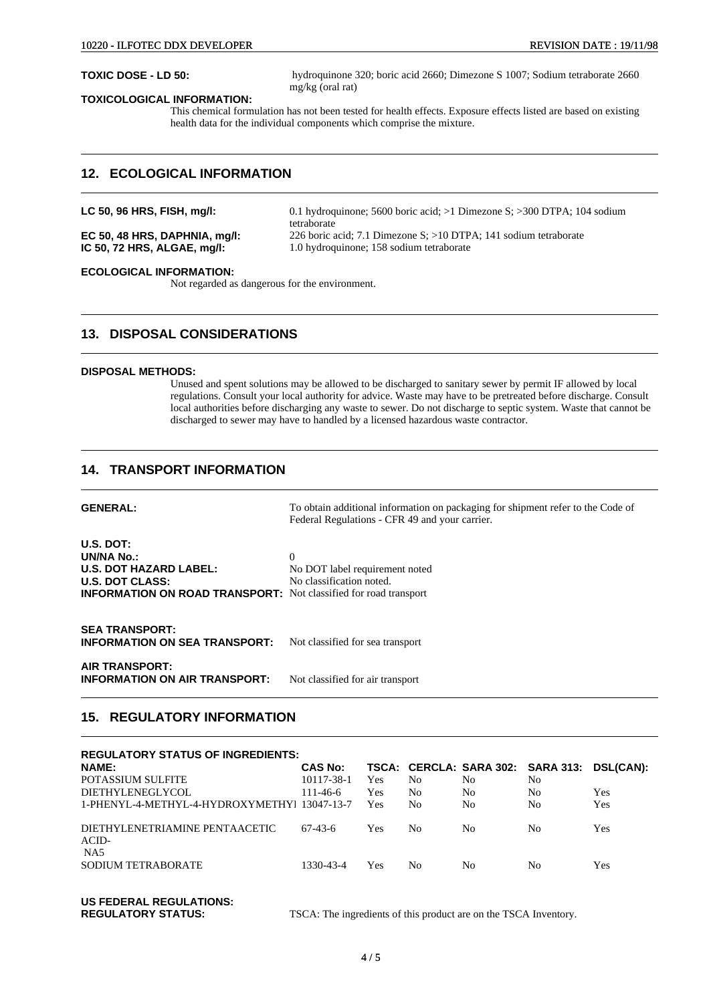**TOXIC DOSE - LD 50:** hydroquinone 320; boric acid 2660; Dimezone S 1007; Sodium tetraborate 2660 mg/kg (oral rat)

#### **TOXICOLOGICAL INFORMATION:**

This chemical formulation has not been tested for health effects. Exposure effects listed are based on existing health data for the individual components which comprise the mixture.

### **12. ECOLOGICAL INFORMATION**

**LC 50, 96 HRS, FISH, mg/l:** 0.1 hydroquinone; 5600 boric acid; >1 Dimezone S; >300 DTPA; 104 sodium tetraborate

**EC 50, 48 HRS, DAPHNIA, mg/l:** 226 boric acid; 7.1 Dimezone S; >10 DTPA; 141 sodium tetraborate **IC 50, 72 HRS, ALGAE, mg/l:** 1.0 hydroquinone; 158 sodium tetraborate 1.0 hydroquinone; 158 sodium tetraborate

#### **ECOLOGICAL INFORMATION:**

Not regarded as dangerous for the environment.

### **13. DISPOSAL CONSIDERATIONS**

#### **DISPOSAL METHODS:**

Unused and spent solutions may be allowed to be discharged to sanitary sewer by permit IF allowed by local regulations. Consult your local authority for advice. Waste may have to be pretreated before discharge. Consult local authorities before discharging any waste to sewer. Do not discharge to septic system. Waste that cannot be discharged to sewer may have to handled by a licensed hazardous waste contractor.

### **14. TRANSPORT INFORMATION**

| <b>GENERAL:</b> | To obtain additional information on packaging for shipment refer to the Code of |
|-----------------|---------------------------------------------------------------------------------|
|                 | Federal Regulations - CFR 49 and your carrier.                                  |

| $U.S.$ DOT:                                                             |                                |
|-------------------------------------------------------------------------|--------------------------------|
| <b>UN/NA No.:</b>                                                       |                                |
| <b>U.S. DOT HAZARD LABEL:</b>                                           | No DOT label requirement noted |
| <b>U.S. DOT CLASS:</b>                                                  | No classification noted.       |
| <b>INFORMATION ON ROAD TRANSPORT:</b> Not classified for road transport |                                |

**SEA TRANSPORT: INFORMATION ON SEA TRANSPORT:** Not classified for sea transport

**AIR TRANSPORT: INFORMATION ON AIR TRANSPORT:** Not classified for air transport

### **15. REGULATORY INFORMATION**

| <b>REGULATORY STATUS OF INGREDIENTS:</b>     |                |     |     |     |                                   |                  |
|----------------------------------------------|----------------|-----|-----|-----|-----------------------------------|------------------|
| <b>NAME:</b>                                 | <b>CAS No:</b> |     |     |     | TSCA: CERCLA: SARA 302: SARA 313: | <b>DSL(CAN):</b> |
| POTASSIUM SULFITE                            | 10117-38-1     | Yes | No  | No  | No                                |                  |
| DIETHYLENEGLYCOL                             | $111 - 46 - 6$ | Yes | No  | No. | No                                | Yes              |
| 1-PHENYL-4-METHYL-4-HYDROXYMETHYL 13047-13-7 |                | Yes | No  | No  | No                                | Yes              |
| DIETHYLENETRIAMINE PENTAACETIC<br>ACID-      | $67-43-6$      | Yes | No. | No  | No                                | Yes              |
| N <sub>A5</sub><br><b>SODIUM TETRABORATE</b> | 1330-43-4      | Yes | No. | No. | No                                | Yes              |

### **US FEDERAL REGULATIONS:**

**REGULATORY STATUS:** TSCA: The ingredients of this product are on the TSCA Inventory.